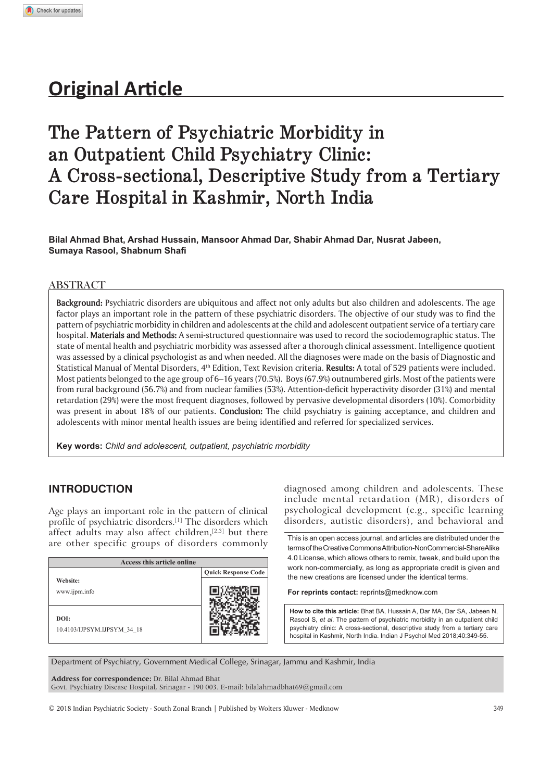# **Original Article**

# **The Pattern of Psychiatric Morbidity in an Outpatient Child Psychiatry Clinic: A Cross-sectional, Descriptive Study from a Tertiary Care Hospital in Kashmir, North India**

**Bilal Ahmad Bhat, Arshad Hussain, Mansoor Ahmad Dar, Shabir Ahmad Dar, Nusrat Jabeen, Sumaya Rasool, Shabnum Shafi** 

### **ABSTRACT**

**Background:** Psychiatric disorders are ubiquitous and affect not only adults but also children and adolescents. The age factor plays an important role in the pattern of these psychiatric disorders. The objective of our study was to find the pattern of psychiatric morbidity in children and adolescents at the child and adolescent outpatient service of a tertiary care hospital. **Materials and Methods:** A semi-structured questionnaire was used to record the sociodemographic status. The state of mental health and psychiatric morbidity was assessed after a thorough clinical assessment. Intelligence quotient was assessed by a clinical psychologist as and when needed. All the diagnoses were made on the basis of Diagnostic and Statistical Manual of Mental Disorders, 4th Edition, Text Revision criteria. **Results:** A total of 529 patients were included. Most patients belonged to the age group of 6–16 years (70.5%). Boys (67.9%) outnumbered girls. Most of the patients were from rural background (56.7%) and from nuclear families (53%). Attention-deficit hyperactivity disorder (31%) and mental retardation (29%) were the most frequent diagnoses, followed by pervasive developmental disorders (10%). Comorbidity was present in about 18% of our patients. **Conclusion:** The child psychiatry is gaining acceptance, and children and adolescents with minor mental health issues are being identified and referred for specialized services.

**Key words:** *Child and adolescent, outpatient, psychiatric morbidity*

## **INTRODUCTION**

Age plays an important role in the pattern of clinical profile of psychiatric disorders.[1] The disorders which affect adults may also affect children, $[2,3]$  but there are other specific groups of disorders commonly

| Access this article online          |                            |  |  |
|-------------------------------------|----------------------------|--|--|
| Website:<br>www.ijpm.info           | <b>Quick Response Code</b> |  |  |
| DOI:<br>10.4103/IJPSYM.IJPSYM 34 18 |                            |  |  |

diagnosed among children and adolescents. These include mental retardation (MR), disorders of psychological development (e.g., specific learning disorders, autistic disorders), and behavioral and

This is an open access journal, and articles are distributed under the terms of the Creative Commons Attribution-NonCommercial-ShareAlike 4.0 License, which allows others to remix, tweak, and build upon the work non-commercially, as long as appropriate credit is given and the new creations are licensed under the identical terms.

**For reprints contact:** reprints@medknow.com

How to cite this article: Bhat BA, Hussain A, Dar MA, Dar SA, Jabeen N, Rasool S, et al. The pattern of psychiatric morbidity in an outpatient child psychiatry clinic: A cross-sectional, descriptive study from a tertiary care hospital in Kashmir, North India, Indian J Psychol Med 2018:40:349-55.

Department of Psychiatry, Government Medical College, Srinagar, Jammu and Kashmir, India

**Address for correspondence:** Dr. Bilal Ahmad Bhat

Govt. Psychiatry Disease Hospital, Srinagar - 190 003. E-mail: bilalahmadbhat69@gmail.com

© 2018 Indian Psychiatric Society - South Zonal Branch | Published by Wolters Kluwer - Medknow 349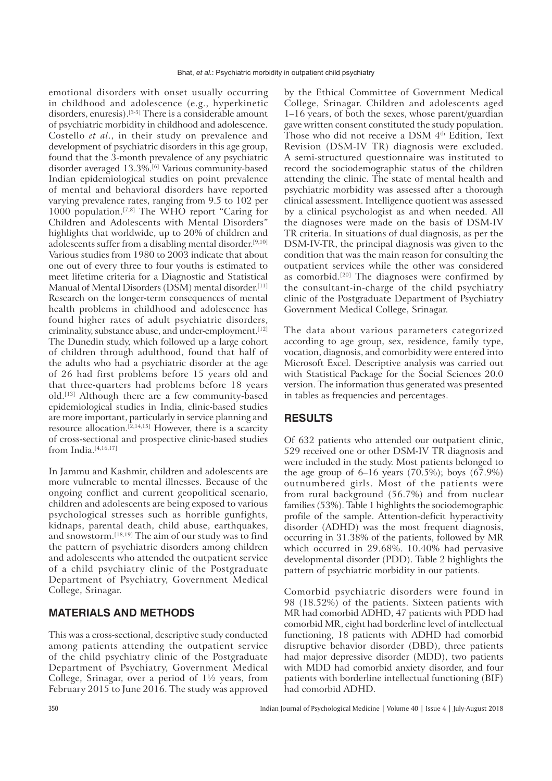emotional disorders with onset usually occurring in childhood and adolescence (e.g., hyperkinetic disorders, enuresis).[3-5] There is a considerable amount of psychiatric morbidity in childhood and adolescence. Costello *et al*., in their study on prevalence and development of psychiatric disorders in this age group, found that the 3-month prevalence of any psychiatric disorder averaged 13.3%.[6] Various community-based Indian epidemiological studies on point prevalence of mental and behavioral disorders have reported varying prevalence rates, ranging from 9.5 to 102 per 1000 population.<sup>[7,8]</sup> The WHO report "Caring for Children and Adolescents with Mental Disorders" highlights that worldwide, up to 20% of children and adolescents suffer from a disabling mental disorder.<sup>[9,10]</sup> Various studies from 1980 to 2003 indicate that about one out of every three to four youths is estimated to meet lifetime criteria for a Diagnostic and Statistical Manual of Mental Disorders (DSM) mental disorder.<sup>[11]</sup> Research on the longer-term consequences of mental health problems in childhood and adolescence has found higher rates of adult psychiatric disorders, criminality, substance abuse, and under-employment.[12] The Dunedin study, which followed up a large cohort of children through adulthood, found that half of the adults who had a psychiatric disorder at the age of 26 had first problems before 15 years old and that three-quarters had problems before 18 years old.[13] Although there are a few community-based epidemiological studies in India, clinic-based studies are more important, particularly in service planning and resource allocation.[2,14,15] However, there is a scarcity of cross-sectional and prospective clinic-based studies from India.<sup>[4,16,17]</sup>

In Jammu and Kashmir, children and adolescents are more vulnerable to mental illnesses. Because of the ongoing conflict and current geopolitical scenario, children and adolescents are being exposed to various psychological stresses such as horrible gunfights, kidnaps, parental death, child abuse, earthquakes, and snowstorm.[18,19] The aim of our study was to find the pattern of psychiatric disorders among children and adolescents who attended the outpatient service of a child psychiatry clinic of the Postgraduate Department of Psychiatry, Government Medical College, Srinagar.

## **MATERIALS AND METHODS**

This was a cross-sectional, descriptive study conducted among patients attending the outpatient service of the child psychiatry clinic of the Postgraduate Department of Psychiatry, Government Medical College, Srinagar, over a period of  $1\frac{1}{2}$  years, from February 2015 to June 2016. The study was approved by the Ethical Committee of Government Medical College, Srinagar. Children and adolescents aged 1–16 years, of both the sexes, whose parent/guardian gave written consent constituted the study population. Those who did not receive a DSM 4th Edition, Text Revision (DSM-IV TR) diagnosis were excluded. A semi-structured questionnaire was instituted to record the sociodemographic status of the children attending the clinic. The state of mental health and psychiatric morbidity was assessed after a thorough clinical assessment. Intelligence quotient was assessed by a clinical psychologist as and when needed. All the diagnoses were made on the basis of DSM-IV TR criteria. In situations of dual diagnosis, as per the DSM-IV-TR, the principal diagnosis was given to the condition that was the main reason for consulting the outpatient services while the other was considered as comorbid.[20] The diagnoses were confirmed by the consultant-in-charge of the child psychiatry clinic of the Postgraduate Department of Psychiatry Government Medical College, Srinagar.

The data about various parameters categorized according to age group, sex, residence, family type, vocation, diagnosis, and comorbidity were entered into Microsoft Excel. Descriptive analysis was carried out with Statistical Package for the Social Sciences 20.0 version. The information thus generated was presented in tables as frequencies and percentages.

## **RESULTS**

Of 632 patients who attended our outpatient clinic, 529 received one or other DSM-IV TR diagnosis and were included in the study. Most patients belonged to the age group of  $6-16$  years  $(70.5\%)$ ; boys  $(67.9\%)$ outnumbered girls. Most of the patients were from rural background (56.7%) and from nuclear families (53%). Table 1 highlights the sociodemographic profile of the sample. Attention-deficit hyperactivity disorder (ADHD) was the most frequent diagnosis, occurring in 31.38% of the patients, followed by MR which occurred in 29.68%. 10.40% had pervasive developmental disorder (PDD). Table 2 highlights the pattern of psychiatric morbidity in our patients.

Comorbid psychiatric disorders were found in 98 (18.52%) of the patients. Sixteen patients with MR had comorbid ADHD, 47 patients with PDD had comorbid MR, eight had borderline level of intellectual functioning, 18 patients with ADHD had comorbid disruptive behavior disorder (DBD), three patients had major depressive disorder (MDD), two patients with MDD had comorbid anxiety disorder, and four patients with borderline intellectual functioning (BIF) had comorbid ADHD.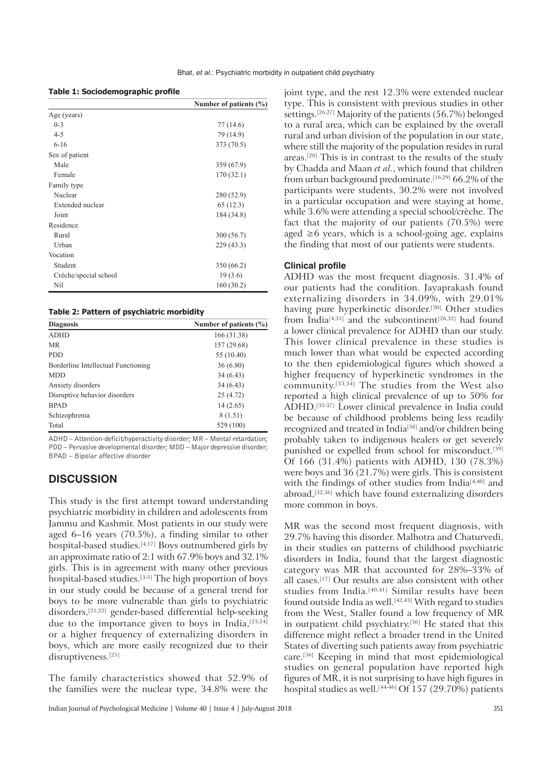|  |  |  | Table 1: Sociodemographic profile |  |  |
|--|--|--|-----------------------------------|--|--|
|--|--|--|-----------------------------------|--|--|

|                       | Number of patients $(\% )$ |
|-----------------------|----------------------------|
| Age (years)           |                            |
| $0 - 3$               | 77 (14.6)                  |
| $4 - 5$               | 79 (14.9)                  |
| $6 - 16$              | 373 (70.5)                 |
| Sex of patient        |                            |
| Male                  | 359(67.9)                  |
| Female                | 170(32.1)                  |
| Family type           |                            |
| Nuclear               | 280 (52.9)                 |
| Extended nuclear      | 65 (12.3)                  |
| Joint                 | 184 (34.8)                 |
| Residence             |                            |
| Rural                 | 300 (56.7)                 |
| Urban                 | 229 (43.3)                 |
| Vocation              |                            |
| Student               | 350(66.2)                  |
| Crèche/special school | 19(3.6)                    |
| Nil                   | 160(30.2)                  |

|  |  |  | Table 2: Pattern of psychiatric morbidity |  |
|--|--|--|-------------------------------------------|--|
|--|--|--|-------------------------------------------|--|

| <b>Diagnosis</b>                    | Number of patients $(\% )$ |  |  |
|-------------------------------------|----------------------------|--|--|
| <b>ADHD</b>                         | 166 (31.38)                |  |  |
| <b>MR</b>                           | 157 (29.68)                |  |  |
| <b>PDD</b>                          | 55 (10.40)                 |  |  |
| Borderline Intellectual Functioning | 36(6.80)                   |  |  |
| <b>MDD</b>                          | 34(6.43)                   |  |  |
| Anxiety disorders                   | 34(6.43)                   |  |  |
| Disruptive behavior disorders       | 25(4.72)                   |  |  |
| <b>BPAD</b>                         | 14(2.65)                   |  |  |
| Schizophrenia                       | 8 (1.51)                   |  |  |
| Total                               | 529 (100)                  |  |  |

ADHD – Attention-deficit/hyperactivity disorder; MR – Mental retardation; PDD – Pervasive developmental disorder; MDD – Major depressive disorder; BPAD – Bipolar affective disorder

# **DISCUSSION**

This study is the first attempt toward understanding psychiatric morbidity in children and adolescents from Jammu and Kashmir. Most patients in our study were aged 6–16 years (70.5%), a finding similar to other hospital-based studies.<sup>[4,17]</sup> Boys outnumbered girls by an approximate ratio of 2:1 with 67.9% boys and 32.1% girls. This is in agreement with many other previous hospital-based studies.[3-5] The high proportion of boys in our study could be because of a general trend for boys to be more vulnerable than girls to psychiatric disorders,[21,22] gender-based differential help-seeking due to the importance given to boys in India,  $[23,24]$ or a higher frequency of externalizing disorders in boys, which are more easily recognized due to their disruptiveness.<sup>[25]</sup>

The family characteristics showed that 52.9% of the families were the nuclear type, 34.8% were the joint type, and the rest 12.3% were extended nuclear type. This is consistent with previous studies in other settings.[26,27] Majority of the patients (56.7%) belonged to a rural area, which can be explained by the overall rural and urban division of the population in our state, where still the majority of the population resides in rural areas.[28] This is in contrast to the results of the study by Chadda and Maan *et al*., which found that children from urban background predominate.[16,29] 66.2% of the participants were students, 30.2% were not involved in a particular occupation and were staying at home, while 3.6% were attending a special school/crèche. The fact that the majority of our patients (70.5%) were aged  $\geq 6$  years, which is a school-going age, explains the finding that most of our patients were students.

## **Clinical profile**

ADHD was the most frequent diagnosis. 31.4% of our patients had the condition. Jayaprakash found externalizing disorders in 34.09%, with 29.01% having pure hyperkinetic disorder.<sup>[30]</sup> Other studies from India<sup>[4,31]</sup> and the subcontinent<sup>[26,32]</sup> had found a lower clinical prevalence for ADHD than our study. This lower clinical prevalence in these studies is much lower than what would be expected according to the then epidemiological figures which showed a higher frequency of hyperkinetic syndromes in the community.[33,34] The studies from the West also reported a high clinical prevalence of up to 50% for ADHD.[35-37] Lower clinical prevalence in India could be because of childhood problems being less readily recognized and treated in India<sup>[38]</sup> and/or children being probably taken to indigenous healers or get severely punished or expelled from school for misconduct.<sup>[39]</sup> Of 166 (31.4%) patients with ADHD, 130 (78.3%) were boys and 36 (21.7%) were girls. This is consistent with the findings of other studies from India<sup>[4,40]</sup> and abroad,[32,36] which have found externalizing disorders more common in boys.

MR was the second most frequent diagnosis, with 29.7% having this disorder. Malhotra and Chaturvedi, in their studies on patterns of childhood psychiatric disorders in India, found that the largest diagnostic category was MR that accounted for 28%–33% of all cases.[17] Our results are also consistent with other studies from India.[40,41] Similar results have been found outside India as well.<sup>[42,43]</sup> With regard to studies from the West, Staller found a low frequency of MR in outpatient child psychiatry.[36] He stated that this difference might reflect a broader trend in the United States of diverting such patients away from psychiatric care.[36] Keeping in mind that most epidemiological studies on general population have reported high figures of MR, it is not surprising to have high figures in hospital studies as well.<sup>[44-46]</sup> Of  $157$  (29.70%) patients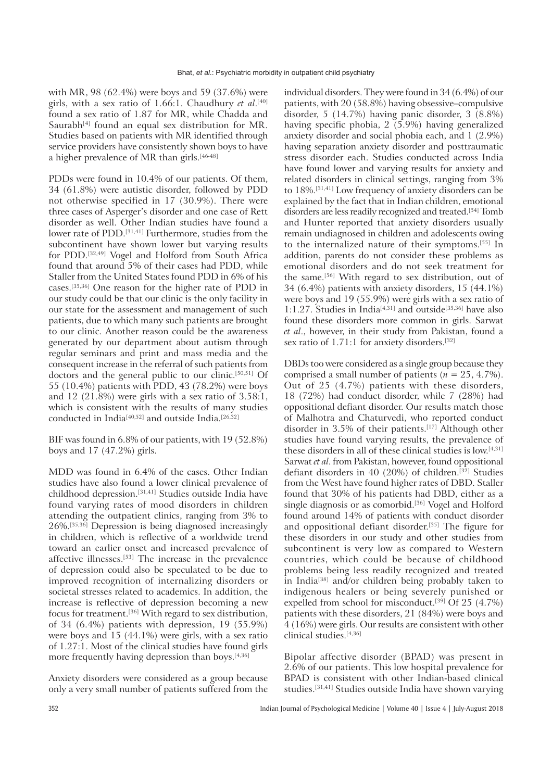with MR, 98 (62.4%) were boys and 59 (37.6%) were girls, with a sex ratio of 1.66:1. Chaudhury *et al*. [40] found a sex ratio of 1.87 for MR, while Chadda and Saurabh $[4]$  found an equal sex distribution for MR. Studies based on patients with MR identified through service providers have consistently shown boys to have a higher prevalence of MR than girls.[46-48]

PDDs were found in 10.4% of our patients. Of them, 34 (61.8%) were autistic disorder, followed by PDD not otherwise specified in 17 (30.9%). There were three cases of Asperger's disorder and one case of Rett disorder as well. Other Indian studies have found a lower rate of PDD.<sup>[31,41]</sup> Furthermore, studies from the subcontinent have shown lower but varying results for PDD.[32,49] Vogel and Holford from South Africa found that around 5% of their cases had PDD, while Staller from the United States found PDD in 6% of his cases.[35,36] One reason for the higher rate of PDD in our study could be that our clinic is the only facility in our state for the assessment and management of such patients, due to which many such patients are brought to our clinic. Another reason could be the awareness generated by our department about autism through regular seminars and print and mass media and the consequent increase in the referral of such patients from doctors and the general public to our clinic.[50,51] Of 55 (10.4%) patients with PDD, 43 (78.2%) were boys and 12 (21.8%) were girls with a sex ratio of 3.58:1, which is consistent with the results of many studies conducted in India[40,52] and outside India.[26,32]

BIF was found in 6.8% of our patients, with 19 (52.8%) boys and 17 (47.2%) girls.

MDD was found in 6.4% of the cases. Other Indian studies have also found a lower clinical prevalence of childhood depression.[31,41] Studies outside India have found varying rates of mood disorders in children attending the outpatient clinics, ranging from 3% to 26%.[35,36] Depression is being diagnosed increasingly in children, which is reflective of a worldwide trend toward an earlier onset and increased prevalence of affective illnesses.[53] The increase in the prevalence of depression could also be speculated to be due to improved recognition of internalizing disorders or societal stresses related to academics. In addition, the increase is reflective of depression becoming a new focus for treatment.[36] With regard to sex distribution, of 34 (6.4%) patients with depression, 19 (55.9%) were boys and  $15$  (44.1%) were girls, with a sex ratio of 1.27:1. Most of the clinical studies have found girls more frequently having depression than boys.[4,36]

Anxiety disorders were considered as a group because only a very small number of patients suffered from the individual disorders. They were found in 34 (6.4%) of our patients, with 20 (58.8%) having obsessive–compulsive disorder, 5 (14.7%) having panic disorder, 3 (8.8%) having specific phobia, 2 (5.9%) having generalized anxiety disorder and social phobia each, and 1 (2.9%) having separation anxiety disorder and posttraumatic stress disorder each. Studies conducted across India have found lower and varying results for anxiety and related disorders in clinical settings, ranging from 3% to 18%.[31,41] Low frequency of anxiety disorders can be explained by the fact that in Indian children, emotional disorders are less readily recognized and treated.[54] Tomb and Hunter reported that anxiety disorders usually remain undiagnosed in children and adolescents owing to the internalized nature of their symptoms.[55] In addition, parents do not consider these problems as emotional disorders and do not seek treatment for the same.[56] With regard to sex distribution, out of 34 (6.4%) patients with anxiety disorders, 15 (44.1%) were boys and 19 (55.9%) were girls with a sex ratio of 1:1.27. Studies in India[4,31] and outside[35,36] have also found these disorders more common in girls. Sarwat *et al*., however, in their study from Pakistan, found a sex ratio of 1.71:1 for anxiety disorders.[32]

DBDs too were considered as a single group because they comprised a small number of patients (*n* = 25, 4.7%). Out of 25 (4.7%) patients with these disorders, 18 (72%) had conduct disorder, while 7 (28%) had oppositional defiant disorder. Our results match those of Malhotra and Chaturvedi, who reported conduct disorder in 3.5% of their patients.[17] Although other studies have found varying results, the prevalence of these disorders in all of these clinical studies is low.[4,31] Sarwat *et al*. from Pakistan, however, found oppositional defiant disorders in 40 (20%) of children.<sup>[32]</sup> Studies from the West have found higher rates of DBD. Staller found that 30% of his patients had DBD, either as a single diagnosis or as comorbid.<sup>[36]</sup> Vogel and Holford found around 14% of patients with conduct disorder and oppositional defiant disorder.[35] The figure for these disorders in our study and other studies from subcontinent is very low as compared to Western countries, which could be because of childhood problems being less readily recognized and treated in India[38] and/or children being probably taken to indigenous healers or being severely punished or expelled from school for misconduct.<sup>[39]</sup> Of 25  $(4.7%)$ patients with these disorders, 21 (84%) were boys and 4 (16%) were girls. Our results are consistent with other clinical studies.[4,36]

Bipolar affective disorder (BPAD) was present in 2.6% of our patients. This low hospital prevalence for BPAD is consistent with other Indian-based clinical studies.[31,41] Studies outside India have shown varying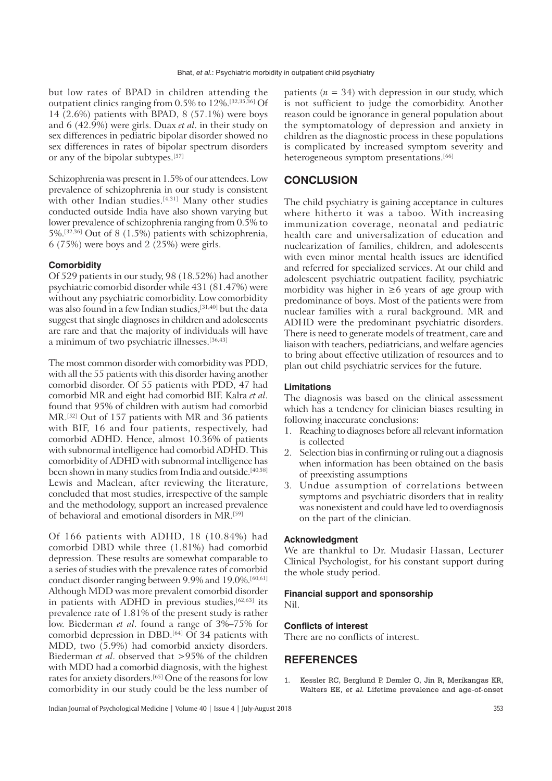but low rates of BPAD in children attending the outpatient clinics ranging from 0.5% to 12%.[32,35,36] Of 14 (2.6%) patients with BPAD, 8 (57.1%) were boys and 6 (42.9%) were girls. Duax *et al*. in their study on sex differences in pediatric bipolar disorder showed no sex differences in rates of bipolar spectrum disorders or any of the bipolar subtypes.[57]

Schizophrenia was present in 1.5% of our attendees. Low prevalence of schizophrenia in our study is consistent with other Indian studies.<sup>[4,31]</sup> Many other studies conducted outside India have also shown varying but lower prevalence of schizophrenia ranging from 0.5% to 5%.[32,36] Out of 8 (1.5%) patients with schizophrenia, 6 (75%) were boys and 2 (25%) were girls.

### **Comorbidity**

Of 529 patients in our study, 98 (18.52%) had another psychiatric comorbid disorder while 431 (81.47%) were without any psychiatric comorbidity. Low comorbidity was also found in a few Indian studies,[31,40] but the data suggest that single diagnoses in children and adolescents are rare and that the majority of individuals will have a minimum of two psychiatric illnesses.[36,43]

The most common disorder with comorbidity was PDD, with all the 55 patients with this disorder having another comorbid disorder. Of 55 patients with PDD, 47 had comorbid MR and eight had comorbid BIF. Kalra *et al*. found that 95% of children with autism had comorbid MR.[52] Out of 157 patients with MR and 36 patients with BIF, 16 and four patients, respectively, had comorbid ADHD. Hence, almost 10.36% of patients with subnormal intelligence had comorbid ADHD. This comorbidity of ADHD with subnormal intelligence has been shown in many studies from India and outside.<sup>[40,58]</sup> Lewis and Maclean, after reviewing the literature, concluded that most studies, irrespective of the sample and the methodology, support an increased prevalence of behavioral and emotional disorders in MR.[59]

Of 166 patients with ADHD, 18 (10.84%) had comorbid DBD while three (1.81%) had comorbid depression. These results are somewhat comparable to a series of studies with the prevalence rates of comorbid conduct disorder ranging between 9.9% and 19.0%.[60,61] Although MDD was more prevalent comorbid disorder in patients with ADHD in previous studies,[62,63] its prevalence rate of 1.81% of the present study is rather low. Biederman *et al*. found a range of 3%–75% for comorbid depression in DBD.<sup>[64]</sup> Of 34 patients with MDD, two (5.9%) had comorbid anxiety disorders. Biederman *et al*. observed that >95% of the children with MDD had a comorbid diagnosis, with the highest rates for anxiety disorders.<sup>[65]</sup> One of the reasons for low comorbidity in our study could be the less number of

patients  $(n = 34)$  with depression in our study, which is not sufficient to judge the comorbidity. Another reason could be ignorance in general population about the symptomatology of depression and anxiety in children as the diagnostic process in these populations is complicated by increased symptom severity and heterogeneous symptom presentations.<sup>[66]</sup>

## **CONCLUSION**

The child psychiatry is gaining acceptance in cultures where hitherto it was a taboo. With increasing immunization coverage, neonatal and pediatric health care and universalization of education and nuclearization of families, children, and adolescents with even minor mental health issues are identified and referred for specialized services. At our child and adolescent psychiatric outpatient facility, psychiatric morbidity was higher in  $\geq 6$  years of age group with predominance of boys. Most of the patients were from nuclear families with a rural background. MR and ADHD were the predominant psychiatric disorders. There is need to generate models of treatment, care and liaison with teachers, pediatricians, and welfare agencies to bring about effective utilization of resources and to plan out child psychiatric services for the future.

### **Limitations**

The diagnosis was based on the clinical assessment which has a tendency for clinician biases resulting in following inaccurate conclusions:

- 1. Reaching to diagnoses before all relevant information is collected
- 2. Selection bias in confirming or ruling out a diagnosis when information has been obtained on the basis of preexisting assumptions
- 3. Undue assumption of correlations between symptoms and psychiatric disorders that in reality was nonexistent and could have led to overdiagnosis on the part of the clinician.

#### **Acknowledgment**

We are thankful to Dr. Mudasir Hassan, Lecturer Clinical Psychologist, for his constant support during the whole study period.

## **Financial support and sponsorship**

Nil.

### **Conflicts of interest**

There are no conflicts of interest.

## **REFERENCES**

1. Kessler RC, Berglund P, Demler O, Jin R, Merikangas KR, Walters EE, *et al.* Lifetime prevalence and age-of-onset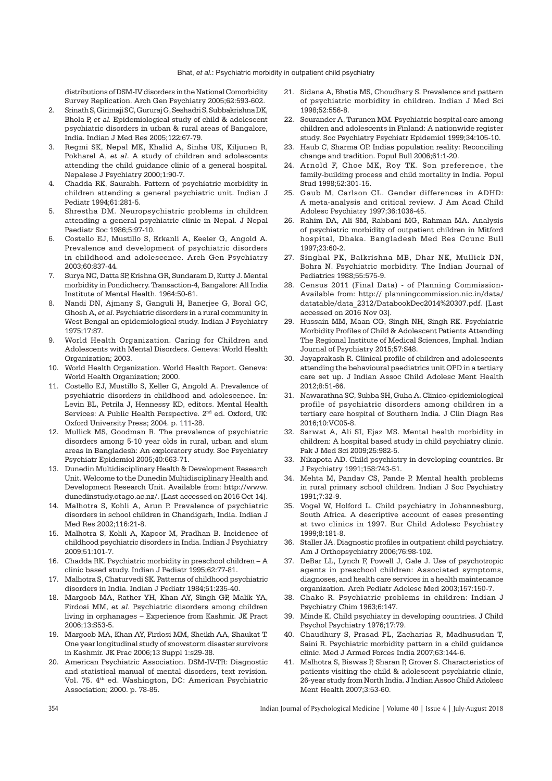distributions of DSM-IV disorders in the National Comorbidity Survey Replication. Arch Gen Psychiatry 2005;62:593-602.

- 2. Srinath S, Girimaji SC, Gururaj G, Seshadri S, Subbakrishna DK, Bhola P, *et al.* Epidemiological study of child & adolescent psychiatric disorders in urban & rural areas of Bangalore, India. Indian J Med Res 2005;122:67-79.
- 3. Regmi SK, Nepal MK, Khalid A, Sinha UK, Kiljunen R, Pokharel A, *et al*. A study of children and adolescents attending the child guidance clinic of a general hospital. Nepalese J Psychiatry 2000;1:90-7.
- 4. Chadda RK, Saurabh. Pattern of psychiatric morbidity in children attending a general psychiatric unit. Indian J Pediatr 1994;61:281-5.
- 5. Shrestha DM. Neuropsychiatric problems in children attending a general psychiatric clinic in Nepal. J Nepal Paediatr Soc 1986;5:97-10.
- 6. Costello EJ, Mustillo S, Erkanli A, Keeler G, Angold A. Prevalence and development of psychiatric disorders in childhood and adolescence. Arch Gen Psychiatry 2003;60:837-44.
- 7. Surya NC, Datta SP, Krishna GR, Sundaram D, Kutty J. Mental morbidity in Pondicherry. Transaction-4, Bangalore: All India Institute of Mental Health. 1964:50-61.
- 8. Nandi DN, Ajmany S, Ganguli H, Banerjee G, Boral GC, Ghosh A, *et al*. Psychiatric disorders in a rural community in West Bengal an epidemiological study. Indian J Psychiatry 1975;17:87.
- 9. World Health Organization. Caring for Children and Adolescents with Mental Disorders. Geneva: World Health Organization; 2003.
- 10. World Health Organization. World Health Report. Geneva: World Health Organization; 2000.
- 11. Costello EJ, Mustillo S, Keller G, Angold A. Prevalence of psychiatric disorders in childhood and adolescence. In: Levin BL, Petrila J, Hennessy KD, editors. Mental Health Services: A Public Health Perspective. 2nd ed. Oxford, UK: Oxford University Press; 2004. p. 111-28.
- 12. Mullick MS, Goodman R. The prevalence of psychiatric disorders among 5-10 year olds in rural, urban and slum areas in Bangladesh: An exploratory study. Soc Psychiatry Psychiatr Epidemiol 2005;40:663-71.
- 13. Dunedin Multidisciplinary Health & Development Research Unit. Welcome to the Dunedin Multidisciplinary Health and Development Research Unit. Available from: http://www. dunedinstudy.otago.ac.nz/. [Last accessed on 2016 Oct 14].
- 14. Malhotra S, Kohli A, Arun P. Prevalence of psychiatric disorders in school children in Chandigarh, India. Indian J Med Res 2002;116:21-8.
- 15. Malhotra S, Kohli A, Kapoor M, Pradhan B. Incidence of childhood psychiatric disorders in India. Indian J Psychiatry 2009;51:101-7.
- 16. Chadda RK. Psychiatric morbidity in preschool children A clinic based study. Indian J Pediatr 1995;62:77-81.
- 17. Malhotra S, Chaturvedi SK. Patterns of childhood psychiatric disorders in India. Indian J Pediatr 1984;51:235-40.
- 18. Margoob MA, Rather YH, Khan AY, Singh GP, Malik YA, Firdosi MM, *et al*. Psychiatric disorders among children living in orphanages – Experience from Kashmir. JK Pract 2006;13:S53-5.
- 19. Margoob MA, Khan AY, Firdosi MM, Sheikh AA, Shaukat T. One year longitudinal study of snowstorm disaster survivors in Kashmir. JK Prac 2006;13 Suppl 1:s29-38.
- 20. American Psychiatric Association. DSM-IV-TR: Diagnostic and statistical manual of mental disorders, text revision. Vol. 75. 4<sup>th</sup> ed. Washington, DC: American Psychiatric Association; 2000. p. 78-85.
- 21. Sidana A, Bhatia MS, Choudhary S. Prevalence and pattern of psychiatric morbidity in children. Indian J Med Sci 1998;52:556-8.
- 22. Sourander A, Turunen MM. Psychiatric hospital care among children and adolescents in Finland: A nationwide register study. Soc Psychiatry Psychiatr Epidemiol 1999;34:105-10.
- 23. Haub C, Sharma OP. Indias population reality: Reconciling change and tradition. Popul Bull 2006;61:1-20.
- 24. Arnold F, Choe MK, Roy TK. Son preference, the family-building process and child mortality in India. Popul Stud 1998;52:301-15.
- 25. Gaub M, Carlson CL. Gender differences in ADHD: A meta-analysis and critical review. J Am Acad Child Adolesc Psychiatry 1997;36:1036-45.
- 26. Rahim DA, Ali SM, Rabbani MG, Rahman MA. Analysis of psychiatric morbidity of outpatient children in Mitford hospital, Dhaka. Bangladesh Med Res Counc Bull 1997;23:60-2.
- 27. Singhal PK, Balkrishna MB, Dhar NK, Mullick DN, Bohra N. Psychiatric morbidity. The Indian Journal of Pediatrics 1988;55:575-9.
- 28. Census 2011 (Final Data) of Planning Commission-Available from: http:// planningcommission.nic.in/data/ datatable/data\_2312/DatabookDec2014%20307.pdf. [Last accessed on 2016 Nov 03].
- 29. Hussain MM, Maan CG, Singh NH, Singh RK. Psychiatric Morbidity Profiles of Child & Adolescent Patients Attending The Regional Institute of Medical Sciences, Imphal. Indian Journal of Psychiatry 2015;57:S48.
- 30. Jayaprakash R. Clinical profile of children and adolescents attending the behavioural paediatrics unit OPD in a tertiary care set up. J Indian Assoc Child Adolesc Ment Health 2012;8:51-66.
- 31. Nawarathna SC, Subba SH, Guha A. Clinico-epidemiological profile of psychiatric disorders among children in a tertiary care hospital of Southern India. J Clin Diagn Res 2016;10:VC05-8.
- 32. Sarwat A, Ali SI, Ejaz MS. Mental health morbidity in children: A hospital based study in child psychiatry clinic. Pak J Med Sci 2009;25:982-5.
- 33. Nikapota AD. Child psychiatry in developing countries. Br J Psychiatry 1991;158:743-51.
- 34. Mehta M, Pandav CS, Pande P. Mental health problems in rural primary school children. Indian J Soc Psychiatry 1991;7:32-9.
- 35. Vogel W, Holford L. Child psychiatry in Johannesburg, South Africa. A descriptive account of cases presenting at two clinics in 1997. Eur Child Adolesc Psychiatry 1999;8:181-8.
- 36. Staller JA. Diagnostic profiles in outpatient child psychiatry. Am J Orthopsychiatry 2006;76:98-102.
- 37. DeBar LL, Lynch F, Powell J, Gale J. Use of psychotropic agents in preschool children: Associated symptoms, diagnoses, and health care services in a health maintenance organization. Arch Pediatr Adolesc Med 2003;157:150-7.
- 38. Chako R. Psychiatric problems in children: Indian J Psychiatry Chim 1963;6:147.
- 39. Minde K. Child psychiatry in developing countries. J Child Psychol Psychiatry 1976;17:79.
- 40. Chaudhury S, Prasad PL, Zacharias R, Madhusudan T, Saini R. Psychiatric morbidity pattern in a child guidance clinic. Med J Armed Forces India 2007;63:144-6.
- 41. Malhotra S, Biswas P, Sharan P, Grover S. Characteristics of patients visiting the child & adolescent psychiatric clinic, 26-year study from North India. J Indian Assoc Child Adolesc Ment Health 2007;3:53-60.